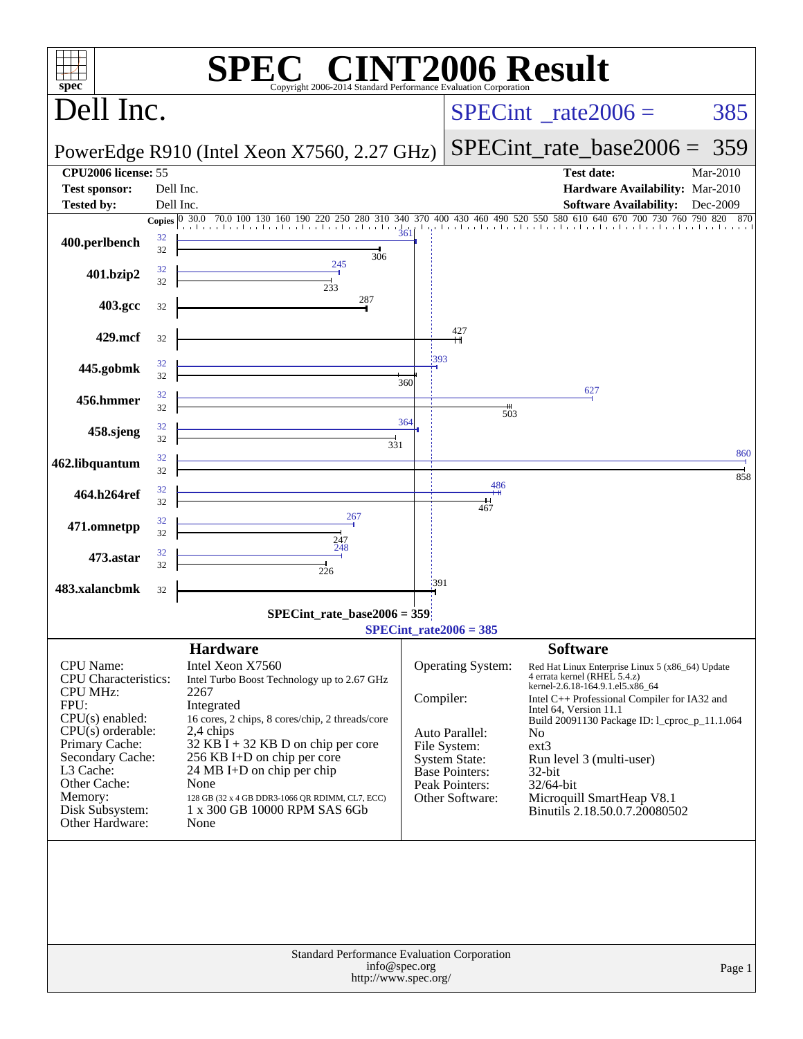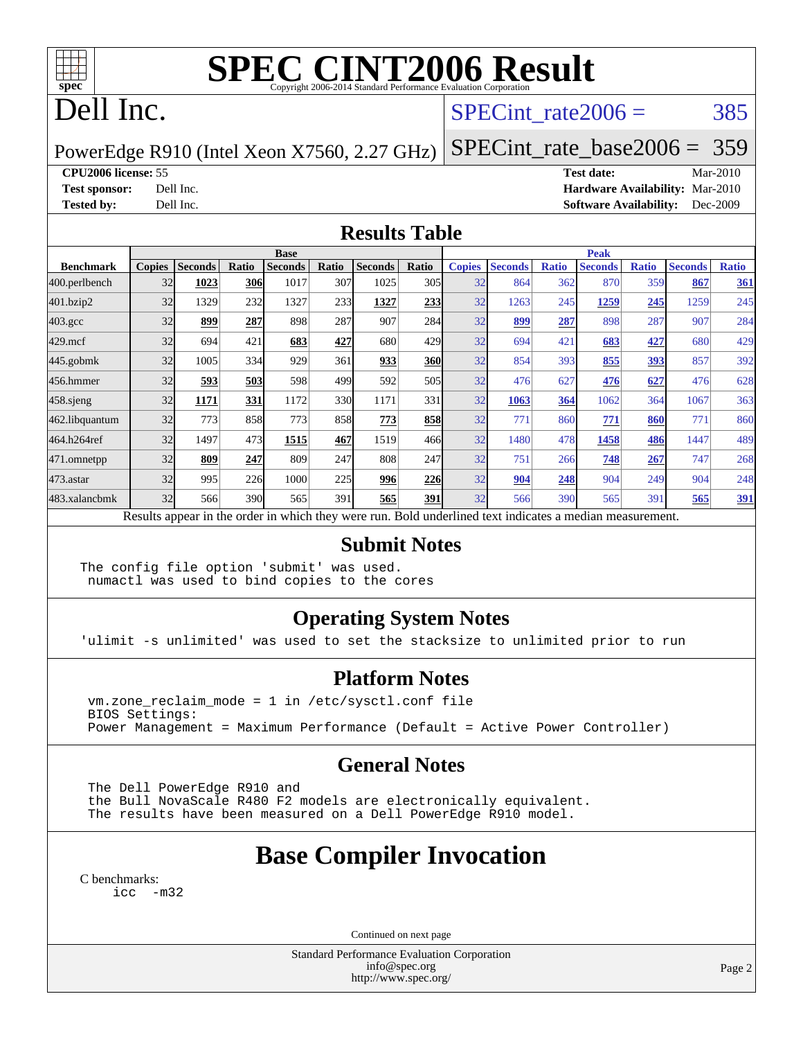

# **[SPEC CINT2006 Result](http://www.spec.org/auto/cpu2006/Docs/result-fields.html#SPECCINT2006Result)**

# Dell Inc.

## SPECint rate $2006 = 385$

[SPECint\\_rate\\_base2006 =](http://www.spec.org/auto/cpu2006/Docs/result-fields.html#SPECintratebase2006) 359

PowerEdge R910 (Intel Xeon X7560, 2.27 GHz)

**[CPU2006 license:](http://www.spec.org/auto/cpu2006/Docs/result-fields.html#CPU2006license)** 55 **[Test date:](http://www.spec.org/auto/cpu2006/Docs/result-fields.html#Testdate)** Mar-2010

**[Test sponsor:](http://www.spec.org/auto/cpu2006/Docs/result-fields.html#Testsponsor)** Dell Inc. **[Hardware Availability:](http://www.spec.org/auto/cpu2006/Docs/result-fields.html#HardwareAvailability)** Mar-2010 **[Tested by:](http://www.spec.org/auto/cpu2006/Docs/result-fields.html#Testedby)** Dell Inc. **[Software Availability:](http://www.spec.org/auto/cpu2006/Docs/result-fields.html#SoftwareAvailability)** Dec-2009

### **[Results Table](http://www.spec.org/auto/cpu2006/Docs/result-fields.html#ResultsTable)**

|                  | <b>Base</b>                                                                                              |                |       |                |       |                |       | <b>Peak</b>   |                |              |                |              |                |              |
|------------------|----------------------------------------------------------------------------------------------------------|----------------|-------|----------------|-------|----------------|-------|---------------|----------------|--------------|----------------|--------------|----------------|--------------|
| <b>Benchmark</b> | <b>Copies</b>                                                                                            | <b>Seconds</b> | Ratio | <b>Seconds</b> | Ratio | <b>Seconds</b> | Ratio | <b>Copies</b> | <b>Seconds</b> | <b>Ratio</b> | <b>Seconds</b> | <b>Ratio</b> | <b>Seconds</b> | <b>Ratio</b> |
| 400.perlbench    | 32                                                                                                       | 1023           | 306   | 1017           | 307   | 1025           | 305   | 32            | 864            | 362          | 870            | 359          | 867            | 361          |
| 401.bzip2        | 32                                                                                                       | 1329           | 232   | 1327           | 233   | 1327           | 233   | 32            | 1263           | 245          | 1259           | 245          | 1259           | 245          |
| $403.\text{gcc}$ | 32                                                                                                       | 899            | 287   | 898            | 287   | 907            | 284   | 32            | 899            | 287          | 898            | 287          | 907            | 284          |
| $429$ .mcf       | 32                                                                                                       | 694            | 421   | 683            | 427   | 680            | 429   | 32            | 694            | 421          | 683            | 427          | 680            | 429          |
| $445$ .gobmk     | 32                                                                                                       | 1005           | 334   | 929            | 361   | 933            | 360   | 32            | 854            | 393          | 855            | <u>393</u>   | 857            | 392          |
| 456.hmmer        | 32                                                                                                       | 593            | 503   | 598            | 499   | 592            | 505   | 32            | 476            | 627          | 476            | 627          | 476            | 628          |
| $458$ .sjeng     | 32                                                                                                       | 1171           | 331   | 1172           | 330   | 1171           | 331   | 32            | 1063           | 364          | 1062           | 364          | 1067           | 363          |
| 462.libquantum   | 32                                                                                                       | 773            | 858   | 773            | 858   | 773            | 858   | 32            | 771            | 860          | 771            | 860          | 771            | 860          |
| 464.h264ref      | 32                                                                                                       | 1497           | 473   | 1515           | 467   | 1519           | 466   | 32            | 1480           | 478          | 1458           | 486          | 1447           | 489          |
| 471.omnetpp      | 32                                                                                                       | 809            | 247   | 809            | 247   | 808            | 247   | 32            | 751            | 266          | 748            | 267          | 747            | 268          |
| 473.astar        | 32                                                                                                       | 995            | 226   | 1000           | 225   | 996            | 226   | 32            | 904            | 248          | 904            | 249          | 904            | 248          |
| 483.xalancbmk    | 32                                                                                                       | 566            | 390   | 565            | 391   | 565            | 391   | 32            | 566            | 390          | 565            | 391          | 565            | <u>391</u>   |
|                  | Results appear in the order in which they were run. Bold underlined text indicates a median measurement. |                |       |                |       |                |       |               |                |              |                |              |                |              |

#### **[Submit Notes](http://www.spec.org/auto/cpu2006/Docs/result-fields.html#SubmitNotes)**

The config file option 'submit' was used. numactl was used to bind copies to the cores

## **[Operating System Notes](http://www.spec.org/auto/cpu2006/Docs/result-fields.html#OperatingSystemNotes)**

'ulimit -s unlimited' was used to set the stacksize to unlimited prior to run

#### **[Platform Notes](http://www.spec.org/auto/cpu2006/Docs/result-fields.html#PlatformNotes)**

 vm.zone\_reclaim\_mode = 1 in /etc/sysctl.conf file BIOS Settings: Power Management = Maximum Performance (Default = Active Power Controller)

## **[General Notes](http://www.spec.org/auto/cpu2006/Docs/result-fields.html#GeneralNotes)**

 The Dell PowerEdge R910 and the Bull NovaScale R480 F2 models are electronically equivalent. The results have been measured on a Dell PowerEdge R910 model.

# **[Base Compiler Invocation](http://www.spec.org/auto/cpu2006/Docs/result-fields.html#BaseCompilerInvocation)**

[C benchmarks](http://www.spec.org/auto/cpu2006/Docs/result-fields.html#Cbenchmarks):

[icc -m32](http://www.spec.org/cpu2006/results/res2010q3/cpu2006-20100621-11916.flags.html#user_CCbase_intel_icc_32bit_5ff4a39e364c98233615fdd38438c6f2)

Continued on next page

Standard Performance Evaluation Corporation [info@spec.org](mailto:info@spec.org) <http://www.spec.org/>

Page 2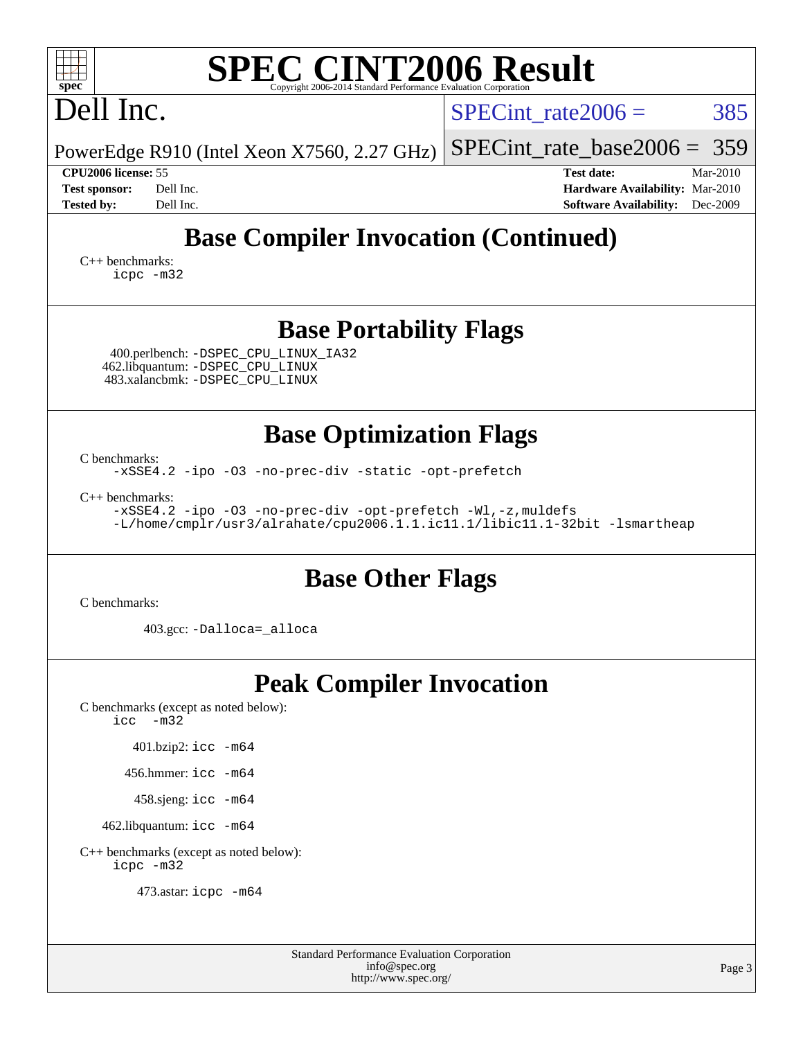| <b>SPEC CINT2006 Result</b><br>$spec^*$<br>Copyright 2006-2014 Standard Performance Evaluation Cor                                                                                                                                                                            |                                                                                                               |
|-------------------------------------------------------------------------------------------------------------------------------------------------------------------------------------------------------------------------------------------------------------------------------|---------------------------------------------------------------------------------------------------------------|
| Dell Inc.                                                                                                                                                                                                                                                                     | SPECint rate $2006 =$<br>385                                                                                  |
| PowerEdge R910 (Intel Xeon X7560, 2.27 GHz)                                                                                                                                                                                                                                   | 359<br>$SPECint_rate base2006 =$                                                                              |
| <b>CPU2006</b> license: 55<br><b>Test sponsor:</b><br>Dell Inc.<br><b>Tested by:</b><br>Dell Inc.                                                                                                                                                                             | <b>Test date:</b><br>Mar-2010<br>Hardware Availability: Mar-2010<br>Dec-2009<br><b>Software Availability:</b> |
| <b>Base Compiler Invocation (Continued)</b>                                                                                                                                                                                                                                   |                                                                                                               |
| $C_{++}$ benchmarks:<br>icpc -m32                                                                                                                                                                                                                                             |                                                                                                               |
| <b>Base Portability Flags</b><br>400.perlbench: -DSPEC_CPU_LINUX_IA32<br>462.libquantum: -DSPEC_CPU_LINUX<br>483.xalancbmk: -DSPEC_CPU_LINUX                                                                                                                                  |                                                                                                               |
| <b>Base Optimization Flags</b><br>C benchmarks:<br>-xSSE4.2 -ipo -03 -no-prec-div -static -opt-prefetch<br>$C_{++}$ benchmarks:<br>-xSSE4.2 -ipo -03 -no-prec-div -opt-prefetch -Wl,-z, muldefs<br>-L/home/cmplr/usr3/alrahate/cpu2006.1.1.ic11.1/libic11.1-32bit -lsmartheap |                                                                                                               |
| <b>Base Other Flags</b><br>C benchmarks:                                                                                                                                                                                                                                      |                                                                                                               |
| 403.gcc: -Dalloca=_alloca                                                                                                                                                                                                                                                     |                                                                                                               |
| <b>Peak Compiler Invocation</b><br>C benchmarks (except as noted below):<br>icc<br>$-m32$                                                                                                                                                                                     |                                                                                                               |
| 401.bzip2: icc -m64                                                                                                                                                                                                                                                           |                                                                                                               |
| 456.hmmer: icc -m64                                                                                                                                                                                                                                                           |                                                                                                               |
| 458.sjeng: icc -m64                                                                                                                                                                                                                                                           |                                                                                                               |
| 462.libquantum: icc -m64                                                                                                                                                                                                                                                      |                                                                                                               |
| C++ benchmarks (except as noted below):<br>icpc -m32                                                                                                                                                                                                                          |                                                                                                               |
| 473.astar: icpc -m64                                                                                                                                                                                                                                                          |                                                                                                               |

| <b>Standard Performance Evaluation Corporation</b> |
|----------------------------------------------------|
| info@spec.org                                      |
| http://www.spec.org/                               |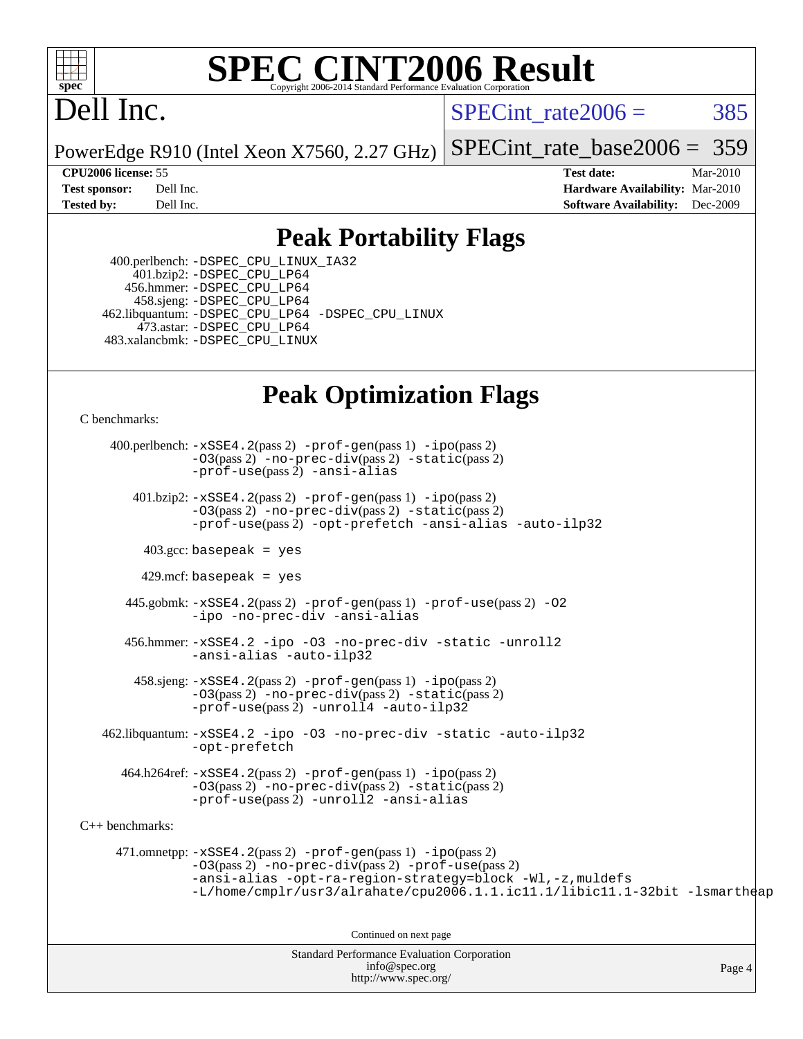

# **[SPEC CINT2006 Result](http://www.spec.org/auto/cpu2006/Docs/result-fields.html#SPECCINT2006Result)**

# Dell Inc.

SPECint rate $2006 = 385$ 

PowerEdge R910 (Intel Xeon X7560, 2.27 GHz) [SPECint\\_rate\\_base2006 =](http://www.spec.org/auto/cpu2006/Docs/result-fields.html#SPECintratebase2006) 359

**[CPU2006 license:](http://www.spec.org/auto/cpu2006/Docs/result-fields.html#CPU2006license)** 55 **[Test date:](http://www.spec.org/auto/cpu2006/Docs/result-fields.html#Testdate)** Mar-2010 **[Test sponsor:](http://www.spec.org/auto/cpu2006/Docs/result-fields.html#Testsponsor)** Dell Inc. **[Hardware Availability:](http://www.spec.org/auto/cpu2006/Docs/result-fields.html#HardwareAvailability)** Mar-2010 **[Tested by:](http://www.spec.org/auto/cpu2006/Docs/result-fields.html#Testedby)** Dell Inc. **[Software Availability:](http://www.spec.org/auto/cpu2006/Docs/result-fields.html#SoftwareAvailability)** Dec-2009

## **[Peak Portability Flags](http://www.spec.org/auto/cpu2006/Docs/result-fields.html#PeakPortabilityFlags)**

 400.perlbench: [-DSPEC\\_CPU\\_LINUX\\_IA32](http://www.spec.org/cpu2006/results/res2010q3/cpu2006-20100621-11916.flags.html#b400.perlbench_peakCPORTABILITY_DSPEC_CPU_LINUX_IA32) 401.bzip2: [-DSPEC\\_CPU\\_LP64](http://www.spec.org/cpu2006/results/res2010q3/cpu2006-20100621-11916.flags.html#suite_peakCPORTABILITY401_bzip2_DSPEC_CPU_LP64) 456.hmmer: [-DSPEC\\_CPU\\_LP64](http://www.spec.org/cpu2006/results/res2010q3/cpu2006-20100621-11916.flags.html#suite_peakCPORTABILITY456_hmmer_DSPEC_CPU_LP64) 458.sjeng: [-DSPEC\\_CPU\\_LP64](http://www.spec.org/cpu2006/results/res2010q3/cpu2006-20100621-11916.flags.html#suite_peakCPORTABILITY458_sjeng_DSPEC_CPU_LP64) 462.libquantum: [-DSPEC\\_CPU\\_LP64](http://www.spec.org/cpu2006/results/res2010q3/cpu2006-20100621-11916.flags.html#suite_peakCPORTABILITY462_libquantum_DSPEC_CPU_LP64) [-DSPEC\\_CPU\\_LINUX](http://www.spec.org/cpu2006/results/res2010q3/cpu2006-20100621-11916.flags.html#b462.libquantum_peakCPORTABILITY_DSPEC_CPU_LINUX) 473.astar: [-DSPEC\\_CPU\\_LP64](http://www.spec.org/cpu2006/results/res2010q3/cpu2006-20100621-11916.flags.html#suite_peakCXXPORTABILITY473_astar_DSPEC_CPU_LP64) 483.xalancbmk: [-DSPEC\\_CPU\\_LINUX](http://www.spec.org/cpu2006/results/res2010q3/cpu2006-20100621-11916.flags.html#b483.xalancbmk_peakCXXPORTABILITY_DSPEC_CPU_LINUX)

## **[Peak Optimization Flags](http://www.spec.org/auto/cpu2006/Docs/result-fields.html#PeakOptimizationFlags)**

[C benchmarks](http://www.spec.org/auto/cpu2006/Docs/result-fields.html#Cbenchmarks):

Standard Performance Evaluation Corporation 400.perlbench: [-xSSE4.2](http://www.spec.org/cpu2006/results/res2010q3/cpu2006-20100621-11916.flags.html#user_peakPASS2_CFLAGSPASS2_LDCFLAGS400_perlbench_f-xSSE42_f91528193cf0b216347adb8b939d4107)(pass 2) [-prof-gen](http://www.spec.org/cpu2006/results/res2010q3/cpu2006-20100621-11916.flags.html#user_peakPASS1_CFLAGSPASS1_LDCFLAGS400_perlbench_prof_gen_e43856698f6ca7b7e442dfd80e94a8fc)(pass 1) [-ipo](http://www.spec.org/cpu2006/results/res2010q3/cpu2006-20100621-11916.flags.html#user_peakPASS2_CFLAGSPASS2_LDCFLAGS400_perlbench_f-ipo)(pass 2) [-O3](http://www.spec.org/cpu2006/results/res2010q3/cpu2006-20100621-11916.flags.html#user_peakPASS2_CFLAGSPASS2_LDCFLAGS400_perlbench_f-O3)(pass 2) [-no-prec-div](http://www.spec.org/cpu2006/results/res2010q3/cpu2006-20100621-11916.flags.html#user_peakPASS2_CFLAGSPASS2_LDCFLAGS400_perlbench_f-no-prec-div)(pass 2) [-static](http://www.spec.org/cpu2006/results/res2010q3/cpu2006-20100621-11916.flags.html#user_peakPASS2_CFLAGSPASS2_LDCFLAGS400_perlbench_f-static)(pass 2) [-prof-use](http://www.spec.org/cpu2006/results/res2010q3/cpu2006-20100621-11916.flags.html#user_peakPASS2_CFLAGSPASS2_LDCFLAGS400_perlbench_prof_use_bccf7792157ff70d64e32fe3e1250b55)(pass 2) [-ansi-alias](http://www.spec.org/cpu2006/results/res2010q3/cpu2006-20100621-11916.flags.html#user_peakCOPTIMIZE400_perlbench_f-ansi-alias) 401.bzip2: [-xSSE4.2](http://www.spec.org/cpu2006/results/res2010q3/cpu2006-20100621-11916.flags.html#user_peakPASS2_CFLAGSPASS2_LDCFLAGS401_bzip2_f-xSSE42_f91528193cf0b216347adb8b939d4107)(pass 2) [-prof-gen](http://www.spec.org/cpu2006/results/res2010q3/cpu2006-20100621-11916.flags.html#user_peakPASS1_CFLAGSPASS1_LDCFLAGS401_bzip2_prof_gen_e43856698f6ca7b7e442dfd80e94a8fc)(pass 1) [-ipo](http://www.spec.org/cpu2006/results/res2010q3/cpu2006-20100621-11916.flags.html#user_peakPASS2_CFLAGSPASS2_LDCFLAGS401_bzip2_f-ipo)(pass 2) [-O3](http://www.spec.org/cpu2006/results/res2010q3/cpu2006-20100621-11916.flags.html#user_peakPASS2_CFLAGSPASS2_LDCFLAGS401_bzip2_f-O3)(pass 2) [-no-prec-div](http://www.spec.org/cpu2006/results/res2010q3/cpu2006-20100621-11916.flags.html#user_peakPASS2_CFLAGSPASS2_LDCFLAGS401_bzip2_f-no-prec-div)(pass 2) [-static](http://www.spec.org/cpu2006/results/res2010q3/cpu2006-20100621-11916.flags.html#user_peakPASS2_CFLAGSPASS2_LDCFLAGS401_bzip2_f-static)(pass 2) [-prof-use](http://www.spec.org/cpu2006/results/res2010q3/cpu2006-20100621-11916.flags.html#user_peakPASS2_CFLAGSPASS2_LDCFLAGS401_bzip2_prof_use_bccf7792157ff70d64e32fe3e1250b55)(pass 2) [-opt-prefetch](http://www.spec.org/cpu2006/results/res2010q3/cpu2006-20100621-11916.flags.html#user_peakCOPTIMIZE401_bzip2_f-opt-prefetch) [-ansi-alias](http://www.spec.org/cpu2006/results/res2010q3/cpu2006-20100621-11916.flags.html#user_peakCOPTIMIZE401_bzip2_f-ansi-alias) [-auto-ilp32](http://www.spec.org/cpu2006/results/res2010q3/cpu2006-20100621-11916.flags.html#user_peakCOPTIMIZE401_bzip2_f-auto-ilp32)  $403.\text{gcc: basepeak}$  = yes  $429$ .mcf: basepeak = yes 445.gobmk: [-xSSE4.2](http://www.spec.org/cpu2006/results/res2010q3/cpu2006-20100621-11916.flags.html#user_peakPASS2_CFLAGSPASS2_LDCFLAGS445_gobmk_f-xSSE42_f91528193cf0b216347adb8b939d4107)(pass 2) [-prof-gen](http://www.spec.org/cpu2006/results/res2010q3/cpu2006-20100621-11916.flags.html#user_peakPASS1_CFLAGSPASS1_LDCFLAGS445_gobmk_prof_gen_e43856698f6ca7b7e442dfd80e94a8fc)(pass 1) [-prof-use](http://www.spec.org/cpu2006/results/res2010q3/cpu2006-20100621-11916.flags.html#user_peakPASS2_CFLAGSPASS2_LDCFLAGS445_gobmk_prof_use_bccf7792157ff70d64e32fe3e1250b55)(pass 2) [-O2](http://www.spec.org/cpu2006/results/res2010q3/cpu2006-20100621-11916.flags.html#user_peakCOPTIMIZE445_gobmk_f-O2) [-ipo](http://www.spec.org/cpu2006/results/res2010q3/cpu2006-20100621-11916.flags.html#user_peakCOPTIMIZE445_gobmk_f-ipo) [-no-prec-div](http://www.spec.org/cpu2006/results/res2010q3/cpu2006-20100621-11916.flags.html#user_peakCOPTIMIZE445_gobmk_f-no-prec-div) [-ansi-alias](http://www.spec.org/cpu2006/results/res2010q3/cpu2006-20100621-11916.flags.html#user_peakCOPTIMIZE445_gobmk_f-ansi-alias) 456.hmmer: [-xSSE4.2](http://www.spec.org/cpu2006/results/res2010q3/cpu2006-20100621-11916.flags.html#user_peakCOPTIMIZE456_hmmer_f-xSSE42_f91528193cf0b216347adb8b939d4107) [-ipo](http://www.spec.org/cpu2006/results/res2010q3/cpu2006-20100621-11916.flags.html#user_peakCOPTIMIZE456_hmmer_f-ipo) [-O3](http://www.spec.org/cpu2006/results/res2010q3/cpu2006-20100621-11916.flags.html#user_peakCOPTIMIZE456_hmmer_f-O3) [-no-prec-div](http://www.spec.org/cpu2006/results/res2010q3/cpu2006-20100621-11916.flags.html#user_peakCOPTIMIZE456_hmmer_f-no-prec-div) [-static](http://www.spec.org/cpu2006/results/res2010q3/cpu2006-20100621-11916.flags.html#user_peakCOPTIMIZE456_hmmer_f-static) [-unroll2](http://www.spec.org/cpu2006/results/res2010q3/cpu2006-20100621-11916.flags.html#user_peakCOPTIMIZE456_hmmer_f-unroll_784dae83bebfb236979b41d2422d7ec2) [-ansi-alias](http://www.spec.org/cpu2006/results/res2010q3/cpu2006-20100621-11916.flags.html#user_peakCOPTIMIZE456_hmmer_f-ansi-alias) [-auto-ilp32](http://www.spec.org/cpu2006/results/res2010q3/cpu2006-20100621-11916.flags.html#user_peakCOPTIMIZE456_hmmer_f-auto-ilp32) 458.sjeng: [-xSSE4.2](http://www.spec.org/cpu2006/results/res2010q3/cpu2006-20100621-11916.flags.html#user_peakPASS2_CFLAGSPASS2_LDCFLAGS458_sjeng_f-xSSE42_f91528193cf0b216347adb8b939d4107)(pass 2) [-prof-gen](http://www.spec.org/cpu2006/results/res2010q3/cpu2006-20100621-11916.flags.html#user_peakPASS1_CFLAGSPASS1_LDCFLAGS458_sjeng_prof_gen_e43856698f6ca7b7e442dfd80e94a8fc)(pass 1) [-ipo](http://www.spec.org/cpu2006/results/res2010q3/cpu2006-20100621-11916.flags.html#user_peakPASS2_CFLAGSPASS2_LDCFLAGS458_sjeng_f-ipo)(pass 2) [-O3](http://www.spec.org/cpu2006/results/res2010q3/cpu2006-20100621-11916.flags.html#user_peakPASS2_CFLAGSPASS2_LDCFLAGS458_sjeng_f-O3)(pass 2) [-no-prec-div](http://www.spec.org/cpu2006/results/res2010q3/cpu2006-20100621-11916.flags.html#user_peakPASS2_CFLAGSPASS2_LDCFLAGS458_sjeng_f-no-prec-div)(pass 2) [-static](http://www.spec.org/cpu2006/results/res2010q3/cpu2006-20100621-11916.flags.html#user_peakPASS2_CFLAGSPASS2_LDCFLAGS458_sjeng_f-static)(pass 2) [-prof-use](http://www.spec.org/cpu2006/results/res2010q3/cpu2006-20100621-11916.flags.html#user_peakPASS2_CFLAGSPASS2_LDCFLAGS458_sjeng_prof_use_bccf7792157ff70d64e32fe3e1250b55)(pass 2) [-unroll4](http://www.spec.org/cpu2006/results/res2010q3/cpu2006-20100621-11916.flags.html#user_peakCOPTIMIZE458_sjeng_f-unroll_4e5e4ed65b7fd20bdcd365bec371b81f) [-auto-ilp32](http://www.spec.org/cpu2006/results/res2010q3/cpu2006-20100621-11916.flags.html#user_peakCOPTIMIZE458_sjeng_f-auto-ilp32) 462.libquantum: [-xSSE4.2](http://www.spec.org/cpu2006/results/res2010q3/cpu2006-20100621-11916.flags.html#user_peakCOPTIMIZE462_libquantum_f-xSSE42_f91528193cf0b216347adb8b939d4107) [-ipo](http://www.spec.org/cpu2006/results/res2010q3/cpu2006-20100621-11916.flags.html#user_peakCOPTIMIZE462_libquantum_f-ipo) [-O3](http://www.spec.org/cpu2006/results/res2010q3/cpu2006-20100621-11916.flags.html#user_peakCOPTIMIZE462_libquantum_f-O3) [-no-prec-div](http://www.spec.org/cpu2006/results/res2010q3/cpu2006-20100621-11916.flags.html#user_peakCOPTIMIZE462_libquantum_f-no-prec-div) [-static](http://www.spec.org/cpu2006/results/res2010q3/cpu2006-20100621-11916.flags.html#user_peakCOPTIMIZE462_libquantum_f-static) [-auto-ilp32](http://www.spec.org/cpu2006/results/res2010q3/cpu2006-20100621-11916.flags.html#user_peakCOPTIMIZE462_libquantum_f-auto-ilp32) [-opt-prefetch](http://www.spec.org/cpu2006/results/res2010q3/cpu2006-20100621-11916.flags.html#user_peakCOPTIMIZE462_libquantum_f-opt-prefetch) 464.h264ref: [-xSSE4.2](http://www.spec.org/cpu2006/results/res2010q3/cpu2006-20100621-11916.flags.html#user_peakPASS2_CFLAGSPASS2_LDCFLAGS464_h264ref_f-xSSE42_f91528193cf0b216347adb8b939d4107)(pass 2) [-prof-gen](http://www.spec.org/cpu2006/results/res2010q3/cpu2006-20100621-11916.flags.html#user_peakPASS1_CFLAGSPASS1_LDCFLAGS464_h264ref_prof_gen_e43856698f6ca7b7e442dfd80e94a8fc)(pass 1) [-ipo](http://www.spec.org/cpu2006/results/res2010q3/cpu2006-20100621-11916.flags.html#user_peakPASS2_CFLAGSPASS2_LDCFLAGS464_h264ref_f-ipo)(pass 2) [-O3](http://www.spec.org/cpu2006/results/res2010q3/cpu2006-20100621-11916.flags.html#user_peakPASS2_CFLAGSPASS2_LDCFLAGS464_h264ref_f-O3)(pass 2) [-no-prec-div](http://www.spec.org/cpu2006/results/res2010q3/cpu2006-20100621-11916.flags.html#user_peakPASS2_CFLAGSPASS2_LDCFLAGS464_h264ref_f-no-prec-div)(pass 2) [-static](http://www.spec.org/cpu2006/results/res2010q3/cpu2006-20100621-11916.flags.html#user_peakPASS2_CFLAGSPASS2_LDCFLAGS464_h264ref_f-static)(pass 2) [-prof-use](http://www.spec.org/cpu2006/results/res2010q3/cpu2006-20100621-11916.flags.html#user_peakPASS2_CFLAGSPASS2_LDCFLAGS464_h264ref_prof_use_bccf7792157ff70d64e32fe3e1250b55)(pass 2) [-unroll2](http://www.spec.org/cpu2006/results/res2010q3/cpu2006-20100621-11916.flags.html#user_peakCOPTIMIZE464_h264ref_f-unroll_784dae83bebfb236979b41d2422d7ec2) [-ansi-alias](http://www.spec.org/cpu2006/results/res2010q3/cpu2006-20100621-11916.flags.html#user_peakCOPTIMIZE464_h264ref_f-ansi-alias) [C++ benchmarks:](http://www.spec.org/auto/cpu2006/Docs/result-fields.html#CXXbenchmarks) 471.omnetpp: [-xSSE4.2](http://www.spec.org/cpu2006/results/res2010q3/cpu2006-20100621-11916.flags.html#user_peakPASS2_CXXFLAGSPASS2_LDCXXFLAGS471_omnetpp_f-xSSE42_f91528193cf0b216347adb8b939d4107)(pass 2) [-prof-gen](http://www.spec.org/cpu2006/results/res2010q3/cpu2006-20100621-11916.flags.html#user_peakPASS1_CXXFLAGSPASS1_LDCXXFLAGS471_omnetpp_prof_gen_e43856698f6ca7b7e442dfd80e94a8fc)(pass 1) [-ipo](http://www.spec.org/cpu2006/results/res2010q3/cpu2006-20100621-11916.flags.html#user_peakPASS2_CXXFLAGSPASS2_LDCXXFLAGS471_omnetpp_f-ipo)(pass 2) [-O3](http://www.spec.org/cpu2006/results/res2010q3/cpu2006-20100621-11916.flags.html#user_peakPASS2_CXXFLAGSPASS2_LDCXXFLAGS471_omnetpp_f-O3)(pass 2) [-no-prec-div](http://www.spec.org/cpu2006/results/res2010q3/cpu2006-20100621-11916.flags.html#user_peakPASS2_CXXFLAGSPASS2_LDCXXFLAGS471_omnetpp_f-no-prec-div)(pass 2) [-prof-use](http://www.spec.org/cpu2006/results/res2010q3/cpu2006-20100621-11916.flags.html#user_peakPASS2_CXXFLAGSPASS2_LDCXXFLAGS471_omnetpp_prof_use_bccf7792157ff70d64e32fe3e1250b55)(pass 2) [-ansi-alias](http://www.spec.org/cpu2006/results/res2010q3/cpu2006-20100621-11916.flags.html#user_peakCXXOPTIMIZE471_omnetpp_f-ansi-alias) [-opt-ra-region-strategy=block](http://www.spec.org/cpu2006/results/res2010q3/cpu2006-20100621-11916.flags.html#user_peakCXXOPTIMIZE471_omnetpp_f-opt-ra-region-strategy-block_a0a37c372d03933b2a18d4af463c1f69) [-Wl,-z,muldefs](http://www.spec.org/cpu2006/results/res2010q3/cpu2006-20100621-11916.flags.html#user_peakEXTRA_LDFLAGS471_omnetpp_link_force_multiple1_74079c344b956b9658436fd1b6dd3a8a) [-L/home/cmplr/usr3/alrahate/cpu2006.1.1.ic11.1/libic11.1-32bit -lsmartheap](http://www.spec.org/cpu2006/results/res2010q3/cpu2006-20100621-11916.flags.html#user_peakEXTRA_LIBS471_omnetpp_SmartHeap_d86dffe4a79b79ef8890d5cce17030c3) Continued on next page

[info@spec.org](mailto:info@spec.org) <http://www.spec.org/>

Page 4